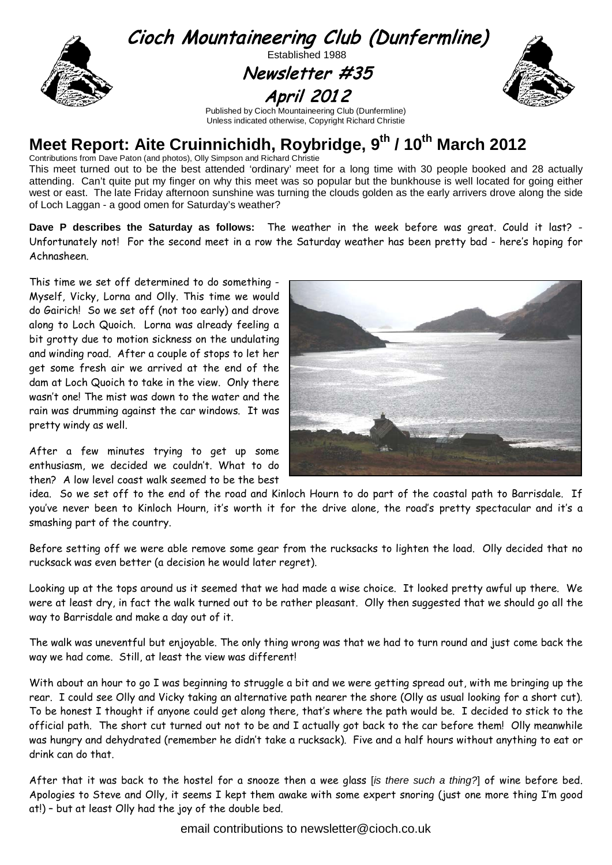

# **Meet Report: Aite Cruinnichidh, Roybridge, 9<sup>th</sup> / 10<sup>th</sup> March 2012**

Contributions from Dave Paton (and photos), Olly Simpson and Richard Christie

This meet turned out to be the best attended 'ordinary' meet for a long time with 30 people booked and 28 actually attending. Can't quite put my finger on why this meet was so popular but the bunkhouse is well located for going either west or east. The late Friday afternoon sunshine was turning the clouds golden as the early arrivers drove along the side of Loch Laggan - a good omen for Saturday's weather?

**Dave P describes the Saturday as follows:** The weather in the week before was great. Could it last? - Unfortunately not! For the second meet in a row the Saturday weather has been pretty bad - here's hoping for Achnasheen.

This time we set off determined to do something - Myself, Vicky, Lorna and Olly. This time we would do Gairich! So we set off (not too early) and drove along to Loch Quoich. Lorna was already feeling a bit grotty due to motion sickness on the undulating and winding road. After a couple of stops to let her get some fresh air we arrived at the end of the dam at Loch Quoich to take in the view. Only there wasn't one! The mist was down to the water and the rain was drumming against the car windows. It was pretty windy as well.

After a few minutes trying to get up some enthusiasm, we decided we couldn't. What to do then? A low level coast walk seemed to be the best



idea. So we set off to the end of the road and Kinloch Hourn to do part of the coastal path to Barrisdale. If you've never been to Kinloch Hourn, it's worth it for the drive alone, the road's pretty spectacular and it's a smashing part of the country.

Before setting off we were able remove some gear from the rucksacks to lighten the load. Olly decided that no rucksack was even better (a decision he would later regret).

Looking up at the tops around us it seemed that we had made a wise choice. It looked pretty awful up there. We were at least dry, in fact the walk turned out to be rather pleasant. Olly then suggested that we should go all the way to Barrisdale and make a day out of it.

The walk was uneventful but enjoyable. The only thing wrong was that we had to turn round and just come back the way we had come. Still, at least the view was different!

With about an hour to go I was beginning to struggle a bit and we were getting spread out, with me bringing up the rear. I could see Olly and Vicky taking an alternative path nearer the shore (Olly as usual looking for a short cut). To be honest I thought if anyone could get along there, that's where the path would be. I decided to stick to the official path. The short cut turned out not to be and I actually got back to the car before them! Olly meanwhile was hungry and dehydrated (remember he didn't take a rucksack). Five and a half hours without anything to eat or drink can do that.

After that it was back to the hostel for a snooze then a wee glass [*is there such a thing?*] of wine before bed. Apologies to Steve and Olly, it seems I kept them awake with some expert snoring (just one more thing I'm good at!) – but at least Olly had the joy of the double bed.

email contributions to newsletter@cioch.co.uk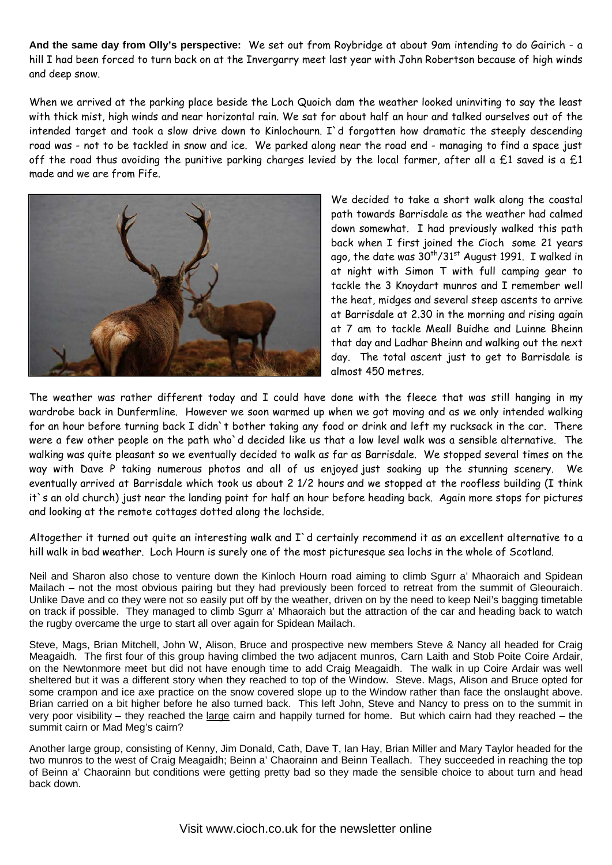**And the same day from Olly's perspective:** We set out from Roybridge at about 9am intending to do Gairich - a hill I had been forced to turn back on at the Invergarry meet last year with John Robertson because of high winds and deep snow.

When we arrived at the parking place beside the Loch Quoich dam the weather looked uninviting to say the least with thick mist, high winds and near horizontal rain. We sat for about half an hour and talked ourselves out of the intended target and took a slow drive down to Kinlochourn. I`d forgotten how dramatic the steeply descending road was - not to be tackled in snow and ice. We parked along near the road end - managing to find a space just off the road thus avoiding the punitive parking charges levied by the local farmer, after all a  $£1$  saved is a  $£1$ made and we are from Fife.



We decided to take a short walk along the coastal path towards Barrisdale as the weather had calmed down somewhat. I had previously walked this path back when I first joined the Cioch some 21 years ago, the date was  $30^{th}/31^{st}$  August 1991. I walked in at night with Simon T with full camping gear to tackle the 3 Knoydart munros and I remember well the heat, midges and several steep ascents to arrive at Barrisdale at 2.30 in the morning and rising again at 7 am to tackle Meall Buidhe and Luinne Bheinn that day and Ladhar Bheinn and walking out the next day. The total ascent just to get to Barrisdale is almost 450 metres.

The weather was rather different today and I could have done with the fleece that was still hanging in my wardrobe back in Dunfermline. However we soon warmed up when we got moving and as we only intended walking for an hour before turning back I didn`t bother taking any food or drink and left my rucksack in the car. There were a few other people on the path who`d decided like us that a low level walk was a sensible alternative. The walking was quite pleasant so we eventually decided to walk as far as Barrisdale. We stopped several times on the way with Dave P taking numerous photos and all of us enjoyed just soaking up the stunning scenery. We eventually arrived at Barrisdale which took us about 2 1/2 hours and we stopped at the roofless building (I think it`s an old church) just near the landing point for half an hour before heading back. Again more stops for pictures and looking at the remote cottages dotted along the lochside.

Altogether it turned out quite an interesting walk and I`d certainly recommend it as an excellent alternative to a hill walk in bad weather. Loch Hourn is surely one of the most picturesque sea lochs in the whole of Scotland.

Neil and Sharon also chose to venture down the Kinloch Hourn road aiming to climb Sgurr a' Mhaoraich and Spidean Mailach – not the most obvious pairing but they had previously been forced to retreat from the summit of Gleouraich. Unlike Dave and co they were not so easily put off by the weather, driven on by the need to keep Neil's bagging timetable on track if possible. They managed to climb Sgurr a' Mhaoraich but the attraction of the car and heading back to watch the rugby overcame the urge to start all over again for Spidean Mailach.

Steve, Mags, Brian Mitchell, John W, Alison, Bruce and prospective new members Steve & Nancy all headed for Craig Meagaidh. The first four of this group having climbed the two adjacent munros, Carn Laith and Stob Poite Coire Ardair, on the Newtonmore meet but did not have enough time to add Craig Meagaidh. The walk in up Coire Ardair was well sheltered but it was a different story when they reached to top of the Window. Steve. Mags, Alison and Bruce opted for some crampon and ice axe practice on the snow covered slope up to the Window rather than face the onslaught above. Brian carried on a bit higher before he also turned back. This left John, Steve and Nancy to press on to the summit in very poor visibility – they reached the large cairn and happily turned for home. But which cairn had they reached – the summit cairn or Mad Meg's cairn?

Another large group, consisting of Kenny, Jim Donald, Cath, Dave T, Ian Hay, Brian Miller and Mary Taylor headed for the two munros to the west of Craig Meagaidh; Beinn a' Chaorainn and Beinn Teallach. They succeeded in reaching the top of Beinn a' Chaorainn but conditions were getting pretty bad so they made the sensible choice to about turn and head back down.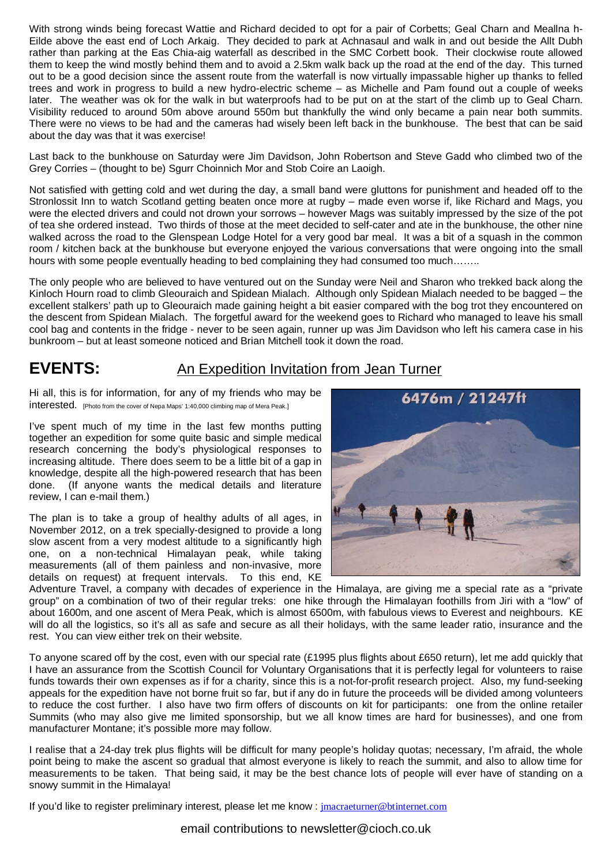With strong winds being forecast Wattie and Richard decided to opt for a pair of Corbetts; Geal Charn and Meallna h-Eilde above the east end of Loch Arkaig. They decided to park at Achnasaul and walk in and out beside the Allt Dubh rather than parking at the Eas Chia-aig waterfall as described in the SMC Corbett book. Their clockwise route allowed them to keep the wind mostly behind them and to avoid a 2.5km walk back up the road at the end of the day. This turned out to be a good decision since the assent route from the waterfall is now virtually impassable higher up thanks to felled trees and work in progress to build a new hydro-electric scheme – as Michelle and Pam found out a couple of weeks later. The weather was ok for the walk in but waterproofs had to be put on at the start of the climb up to Geal Charn. Visibility reduced to around 50m above around 550m but thankfully the wind only became a pain near both summits. There were no views to be had and the cameras had wisely been left back in the bunkhouse. The best that can be said about the day was that it was exercise!

Last back to the bunkhouse on Saturday were Jim Davidson, John Robertson and Steve Gadd who climbed two of the Grey Corries – (thought to be) Sgurr Choinnich Mor and Stob Coire an Laoigh.

Not satisfied with getting cold and wet during the day, a small band were gluttons for punishment and headed off to the Stronlossit Inn to watch Scotland getting beaten once more at rugby – made even worse if, like Richard and Mags, you were the elected drivers and could not drown your sorrows – however Mags was suitably impressed by the size of the pot of tea she ordered instead. Two thirds of those at the meet decided to self-cater and ate in the bunkhouse, the other nine walked across the road to the Glenspean Lodge Hotel for a very good bar meal. It was a bit of a squash in the common room / kitchen back at the bunkhouse but everyone enjoyed the various conversations that were ongoing into the small hours with some people eventually heading to bed complaining they had consumed too much........

The only people who are believed to have ventured out on the Sunday were Neil and Sharon who trekked back along the Kinloch Hourn road to climb Gleouraich and Spidean Mialach. Although only Spidean Mialach needed to be bagged – the excellent stalkers' path up to Gleouraich made gaining height a bit easier compared with the bog trot they encountered on the descent from Spidean Mialach. The forgetful award for the weekend goes to Richard who managed to leave his small cool bag and contents in the fridge - never to be seen again, runner up was Jim Davidson who left his camera case in his bunkroom – but at least someone noticed and Brian Mitchell took it down the road.

## **EVENTS:** An Expedition Invitation from Jean Turner

Hi all, this is for information, for any of my friends who may be interested. [Photo from the cover of Nepa Maps' 1:40,000 climbing map of Mera Peak.]

I've spent much of my time in the last few months putting together an expedition for some quite basic and simple medical research concerning the body's physiological responses to increasing altitude. There does seem to be a little bit of a gap in knowledge, despite all the high-powered research that has been done. (If anyone wants the medical details and literature review, I can e-mail them.)

The plan is to take a group of healthy adults of all ages, in November 2012, on a trek specially-designed to provide a long slow ascent from a very modest altitude to a significantly high one, on a non-technical Himalayan peak, while taking measurements (all of them painless and non-invasive, more details on request) at frequent intervals. To this end, KE



Adventure Travel, a company with decades of experience in the Himalaya, are giving me a special rate as a "private group" on a combination of two of their regular treks: one hike through the Himalayan foothills from Jiri with a "low" of about 1600m, and one ascent of Mera Peak, which is almost 6500m, with fabulous views to Everest and neighbours. KE will do all the logistics, so it's all as safe and secure as all their holidays, with the same leader ratio, insurance and the rest. You can view either trek on their website.

To anyone scared off by the cost, even with our special rate (£1995 plus flights about £650 return), let me add quickly that I have an assurance from the Scottish Council for Voluntary Organisations that it is perfectly legal for volunteers to raise funds towards their own expenses as if for a charity, since this is a not-for-profit research project. Also, my fund-seeking appeals for the expedition have not borne fruit so far, but if any do in future the proceeds will be divided among volunteers to reduce the cost further. I also have two firm offers of discounts on kit for participants: one from the online retailer Summits (who may also give me limited sponsorship, but we all know times are hard for businesses), and one from manufacturer Montane; it's possible more may follow.

I realise that a 24-day trek plus flights will be difficult for many people's holiday quotas; necessary, I'm afraid, the whole point being to make the ascent so gradual that almost everyone is likely to reach the summit, and also to allow time for measurements to be taken. That being said, it may be the best chance lots of people will ever have of standing on a snowy summit in the Himalaya!

If you'd like to register preliminary interest, please let me know : [jmacraeturner@btinternet.com](mailto:jmacraeturner@btinternet.com)

email contributions to newsletter@cioch.co.uk